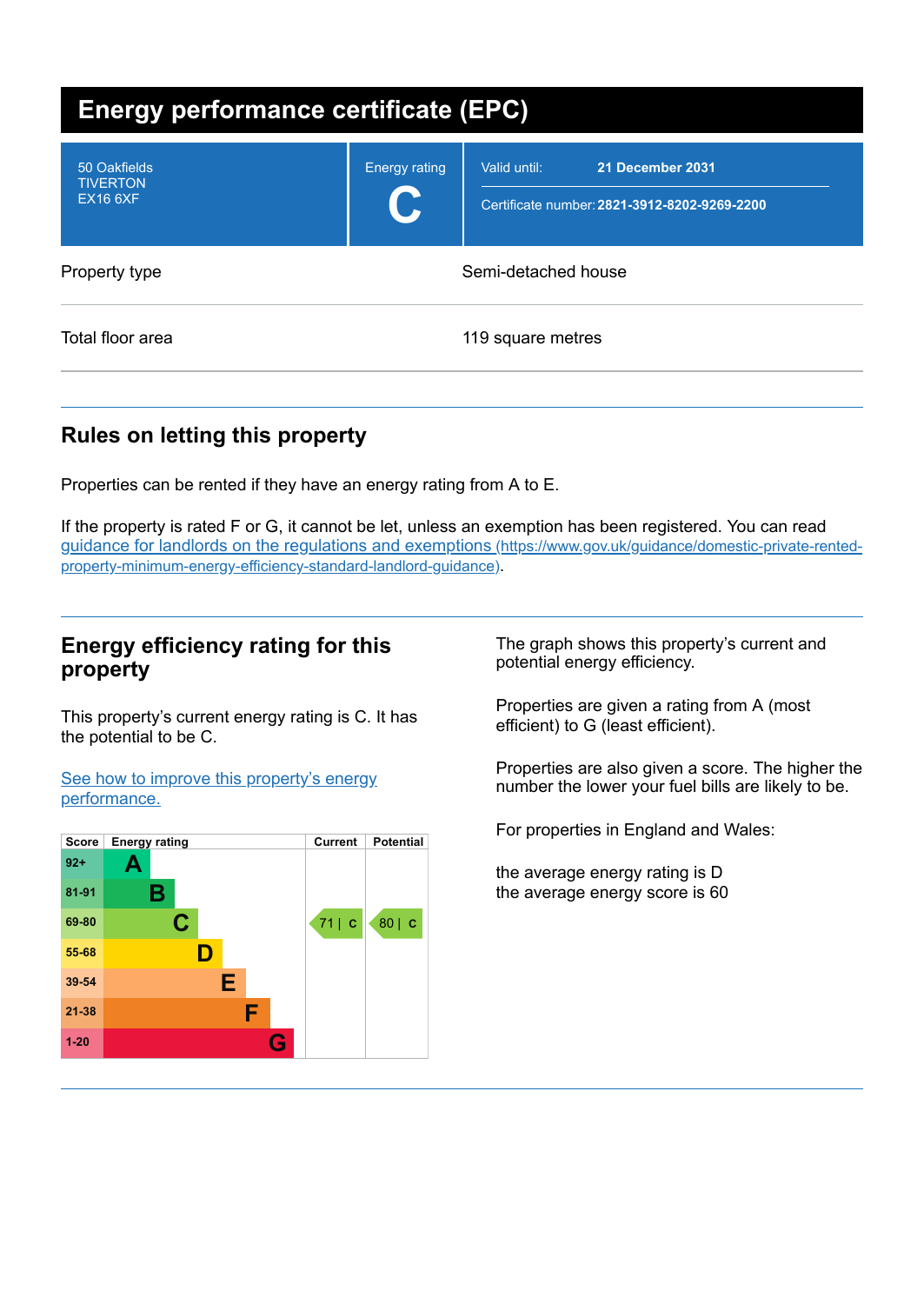| <b>Energy performance certificate (EPC)</b>        |                            |                                                                                  |  |
|----------------------------------------------------|----------------------------|----------------------------------------------------------------------------------|--|
| 50 Oakfields<br><b>TIVERTON</b><br><b>EX16 6XF</b> | <b>Energy rating</b><br>U. | Valid until:<br>21 December 2031<br>Certificate number: 2821-3912-8202-9269-2200 |  |
| Property type                                      |                            | Semi-detached house                                                              |  |
| Total floor area                                   |                            | 119 square metres                                                                |  |

## **Rules on letting this property**

Properties can be rented if they have an energy rating from A to E.

If the property is rated F or G, it cannot be let, unless an exemption has been registered. You can read guidance for landlords on the regulations and exemptions (https://www.gov.uk/guidance/domestic-private-rented[property-minimum-energy-efficiency-standard-landlord-guidance\)](https://www.gov.uk/guidance/domestic-private-rented-property-minimum-energy-efficiency-standard-landlord-guidance).

### **Energy efficiency rating for this property**

This property's current energy rating is C. It has the potential to be C.

See how to improve this property's energy [performance.](#page-2-0)



The graph shows this property's current and potential energy efficiency.

Properties are given a rating from A (most efficient) to G (least efficient).

Properties are also given a score. The higher the number the lower your fuel bills are likely to be.

For properties in England and Wales:

the average energy rating is D the average energy score is 60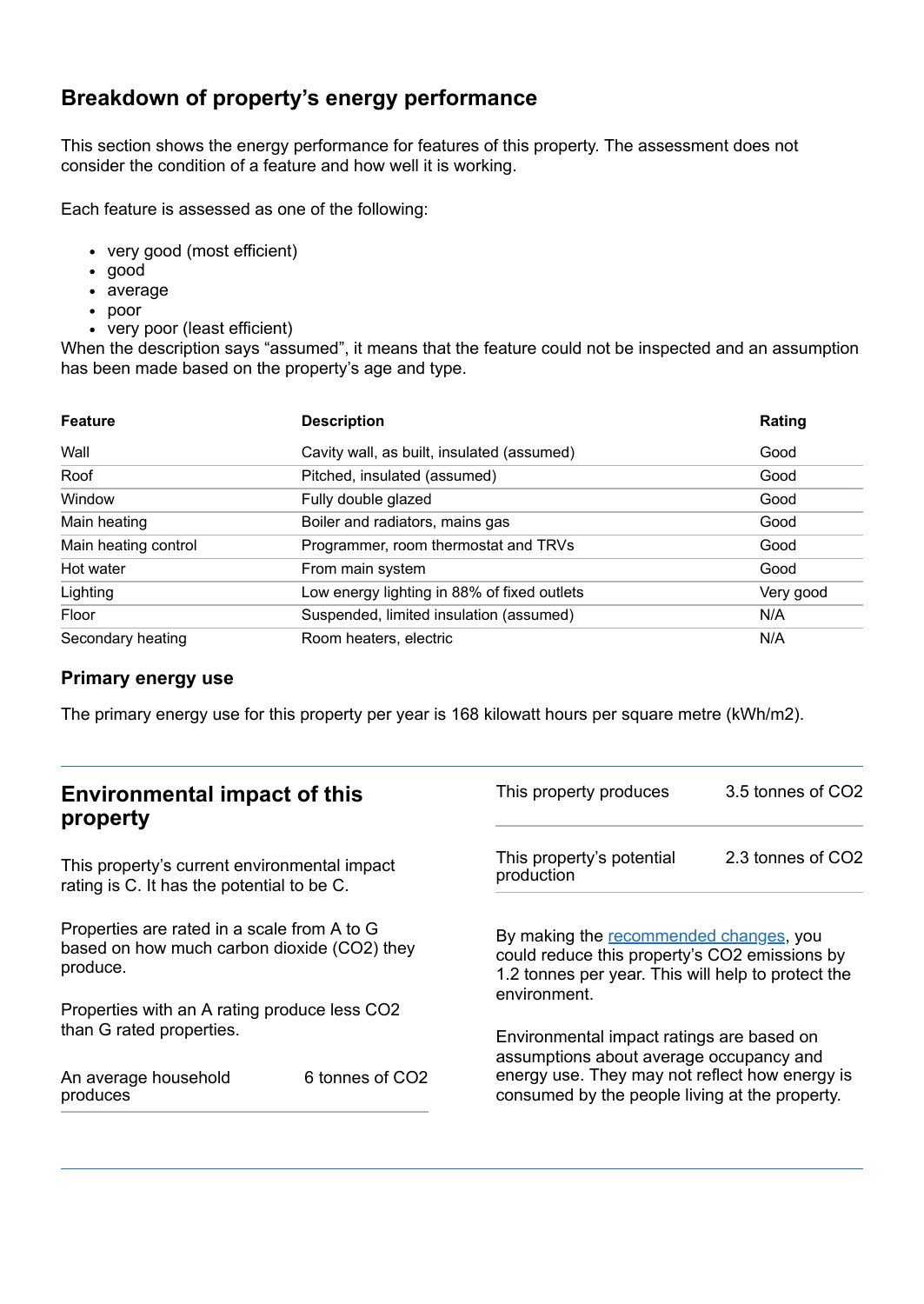## **Breakdown of property's energy performance**

This section shows the energy performance for features of this property. The assessment does not consider the condition of a feature and how well it is working.

Each feature is assessed as one of the following:

- very good (most efficient)
- good
- average
- poor
- very poor (least efficient)

When the description says "assumed", it means that the feature could not be inspected and an assumption has been made based on the property's age and type.

| <b>Feature</b>       | <b>Description</b>                          | Rating    |
|----------------------|---------------------------------------------|-----------|
| Wall                 | Cavity wall, as built, insulated (assumed)  | Good      |
| Roof                 | Pitched, insulated (assumed)                | Good      |
| Window               | Fully double glazed                         | Good      |
| Main heating         | Boiler and radiators, mains gas             | Good      |
| Main heating control | Programmer, room thermostat and TRVs        | Good      |
| Hot water            | From main system                            | Good      |
| Lighting             | Low energy lighting in 88% of fixed outlets | Very good |
| Floor                | Suspended, limited insulation (assumed)     | N/A       |
| Secondary heating    | Room heaters, electric                      | N/A       |

#### **Primary energy use**

The primary energy use for this property per year is 168 kilowatt hours per square metre (kWh/m2).

| <b>Environmental impact of this</b><br>property                                                        |                             | This property produces                                                                                                                                        | 3.5 tonnes of CO2 |
|--------------------------------------------------------------------------------------------------------|-----------------------------|---------------------------------------------------------------------------------------------------------------------------------------------------------------|-------------------|
| This property's current environmental impact<br>rating is C. It has the potential to be C.             |                             | This property's potential<br>production                                                                                                                       | 2.3 tonnes of CO2 |
| Properties are rated in a scale from A to G<br>based on how much carbon dioxide (CO2) they<br>produce. |                             | By making the recommended changes, you<br>could reduce this property's CO2 emissions by<br>1.2 tonnes per year. This will help to protect the<br>environment. |                   |
| Properties with an A rating produce less CO2                                                           |                             |                                                                                                                                                               |                   |
| than G rated properties.<br>An average household                                                       | 6 tonnes of CO <sub>2</sub> | Environmental impact ratings are based on<br>assumptions about average occupancy and<br>energy use. They may not reflect how energy is                        |                   |
| produces                                                                                               |                             | consumed by the people living at the property.                                                                                                                |                   |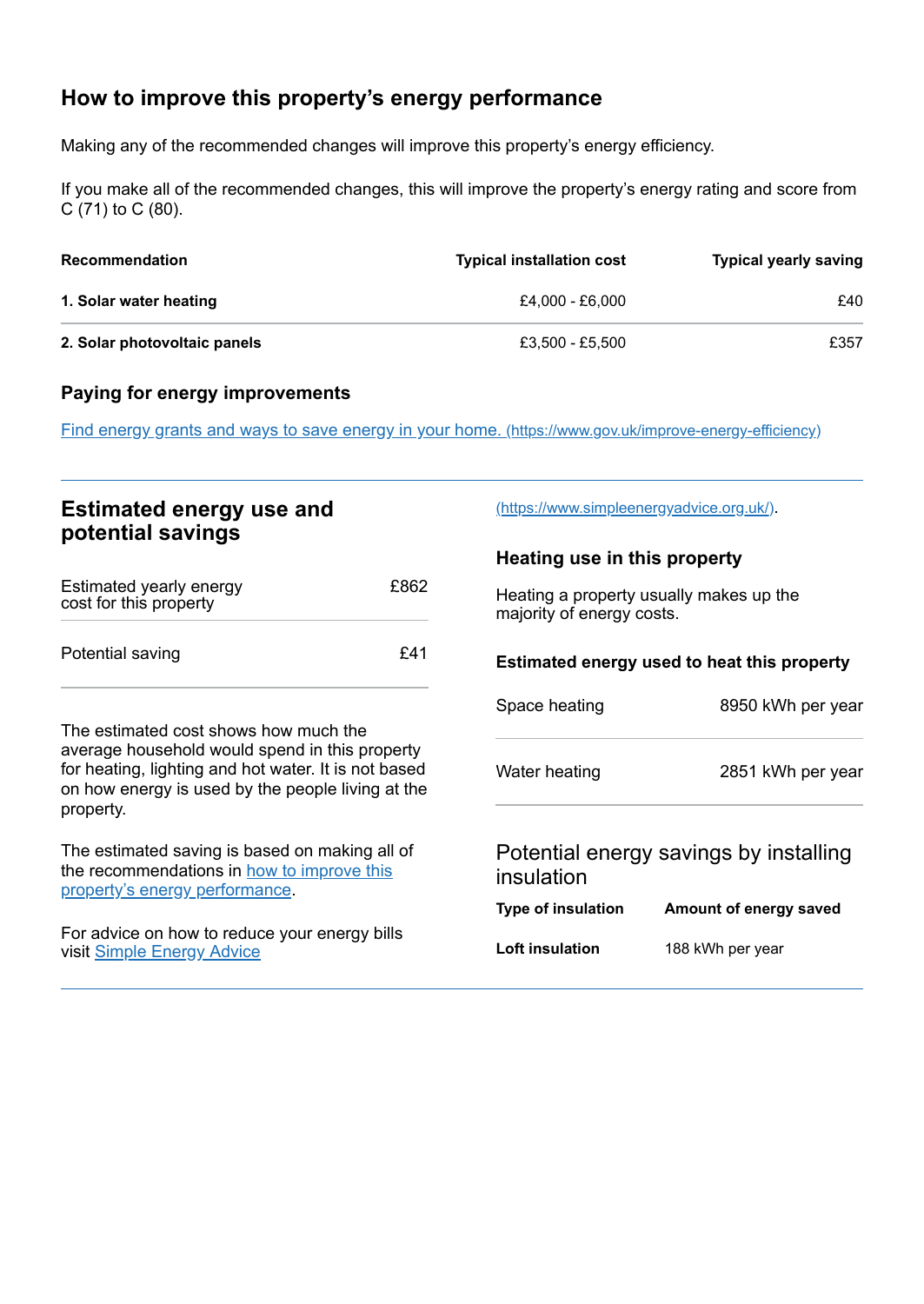## <span id="page-2-0"></span>**How to improve this property's energy performance**

Making any of the recommended changes will improve this property's energy efficiency.

If you make all of the recommended changes, this will improve the property's energy rating and score from C (71) to C (80).

| <b>Recommendation</b>        | <b>Typical installation cost</b> | <b>Typical yearly saving</b> |
|------------------------------|----------------------------------|------------------------------|
| 1. Solar water heating       | £4.000 - £6.000                  | £40                          |
| 2. Solar photovoltaic panels | £3.500 - £5.500                  | £357                         |

#### **Paying for energy improvements**

Find energy grants and ways to save energy in your home. [\(https://www.gov.uk/improve-energy-efficiency\)](https://www.gov.uk/improve-energy-efficiency)

## **Estimated energy use and potential savings**

| Estimated yearly energy<br>cost for this property | £862 |
|---------------------------------------------------|------|
| Potential saving                                  | £41  |

The estimated cost shows how much the average household would spend in this property for heating, lighting and hot water. It is not based on how energy is used by the people living at the property.

The estimated saving is based on making all of the [recommendations](#page-2-0) in how to improve this property's energy performance.

For advice on how to reduce your energy bills visit Simple [Energy](https://www.simpleenergyadvice.org.uk/) Advice

[\(https://www.simpleenergyadvice.org.uk/\)](https://www.simpleenergyadvice.org.uk/).

#### **Heating use in this property**

Heating a property usually makes up the majority of energy costs.

# **Estimated energy used to heat this property**

| Space heating | 8950 kWh per year |
|---------------|-------------------|
| Water heating | 2851 kWh per year |
|               |                   |

#### Potential energy savings by installing insulation

| Type of insulation | Amount of energy saved |
|--------------------|------------------------|
| Loft insulation    | 188 kWh per year       |